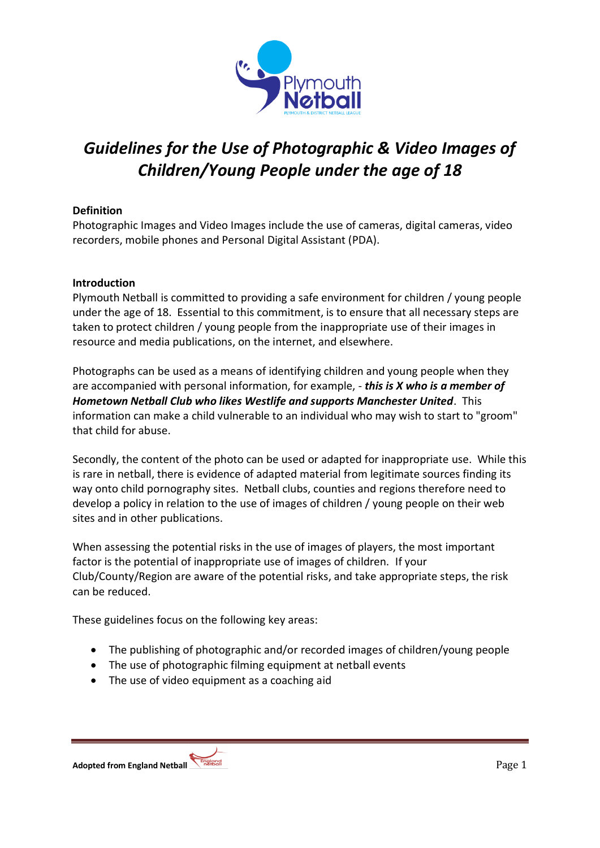

# *Guidelines for the Use of Photographic & Video Images of Children/Young People under the age of 18*

### **Definition**

Photographic Images and Video Images include the use of cameras, digital cameras, video recorders, mobile phones and Personal Digital Assistant (PDA).

### **Introduction**

Plymouth Netball is committed to providing a safe environment for children / young people under the age of 18. Essential to this commitment, is to ensure that all necessary steps are taken to protect children / young people from the inappropriate use of their images in resource and media publications, on the internet, and elsewhere.

Photographs can be used as a means of identifying children and young people when they are accompanied with personal information, for example, - *this is X who is a member of Hometown Netball Club who likes Westlife and supports Manchester United*. This information can make a child vulnerable to an individual who may wish to start to "groom" that child for abuse.

Secondly, the content of the photo can be used or adapted for inappropriate use. While this is rare in netball, there is evidence of adapted material from legitimate sources finding its way onto child pornography sites. Netball clubs, counties and regions therefore need to develop a policy in relation to the use of images of children / young people on their web sites and in other publications.

When assessing the potential risks in the use of images of players, the most important factor is the potential of inappropriate use of images of children. If your Club/County/Region are aware of the potential risks, and take appropriate steps, the risk can be reduced.

These guidelines focus on the following key areas:

- The publishing of photographic and/or recorded images of children/young people
- The use of photographic filming equipment at netball events
- The use of video equipment as a coaching aid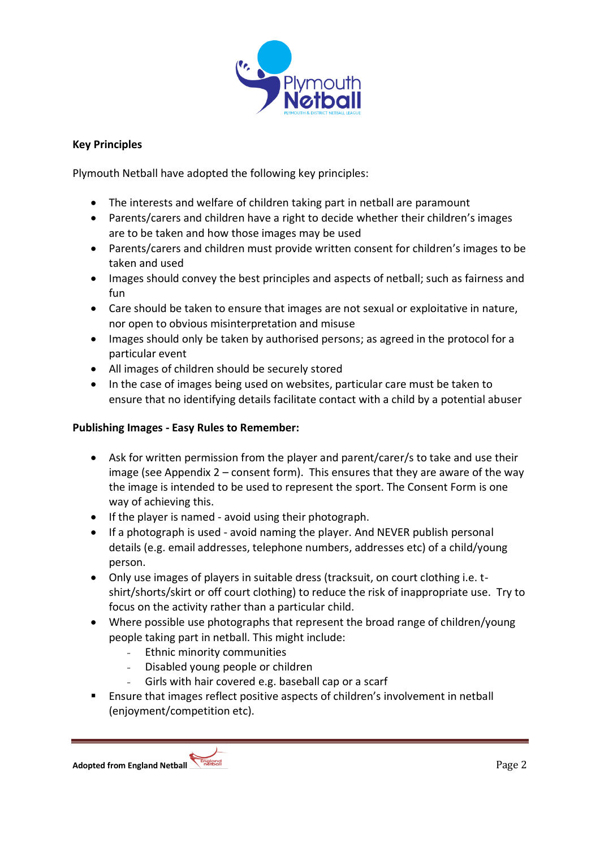

### **Key Principles**

Plymouth Netball have adopted the following key principles:

- The interests and welfare of children taking part in netball are paramount
- Parents/carers and children have a right to decide whether their children's images are to be taken and how those images may be used
- Parents/carers and children must provide written consent for children's images to be taken and used
- Images should convey the best principles and aspects of netball; such as fairness and fun
- Care should be taken to ensure that images are not sexual or exploitative in nature, nor open to obvious misinterpretation and misuse
- Images should only be taken by authorised persons; as agreed in the protocol for a particular event
- All images of children should be securely stored
- In the case of images being used on websites, particular care must be taken to ensure that no identifying details facilitate contact with a child by a potential abuser

### **Publishing Images - Easy Rules to Remember:**

- Ask for written permission from the player and parent/carer/s to take and use their image (see Appendix 2 – consent form). This ensures that they are aware of the way the image is intended to be used to represent the sport. The Consent Form is one way of achieving this.
- If the player is named avoid using their photograph.
- If a photograph is used avoid naming the player. And NEVER publish personal details (e.g. email addresses, telephone numbers, addresses etc) of a child/young person.
- Only use images of players in suitable dress (tracksuit, on court clothing i.e. tshirt/shorts/skirt or off court clothing) to reduce the risk of inappropriate use. Try to focus on the activity rather than a particular child.
- Where possible use photographs that represent the broad range of children/young people taking part in netball. This might include:
	- Ethnic minority communities
	- Disabled young people or children
	- Girls with hair covered e.g. baseball cap or a scarf
- Ensure that images reflect positive aspects of children's involvement in netball (enjoyment/competition etc).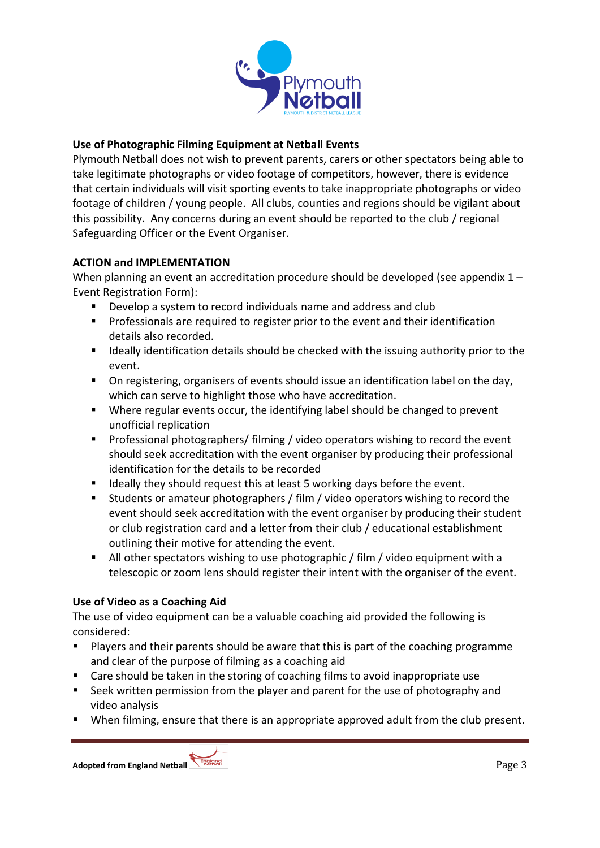

### **Use of Photographic Filming Equipment at Netball Events**

Plymouth Netball does not wish to prevent parents, carers or other spectators being able to take legitimate photographs or video footage of competitors, however, there is evidence that certain individuals will visit sporting events to take inappropriate photographs or video footage of children / young people. All clubs, counties and regions should be vigilant about this possibility. Any concerns during an event should be reported to the club / regional Safeguarding Officer or the Event Organiser.

### **ACTION and IMPLEMENTATION**

When planning an event an accreditation procedure should be developed (see appendix  $1 -$ Event Registration Form):

- Develop a system to record individuals name and address and club
- **Professionals are required to register prior to the event and their identification** details also recorded.
- **If the limit is ally identification details should be checked with the issuing authority prior to the** event.
- On registering, organisers of events should issue an identification label on the day, which can serve to highlight those who have accreditation.
- Where regular events occur, the identifying label should be changed to prevent unofficial replication
- **Professional photographers/ filming / video operators wishing to record the event** should seek accreditation with the event organiser by producing their professional identification for the details to be recorded
- I Ideally they should request this at least 5 working days before the event.
- Students or amateur photographers / film / video operators wishing to record the event should seek accreditation with the event organiser by producing their student or club registration card and a letter from their club / educational establishment outlining their motive for attending the event.
- All other spectators wishing to use photographic / film / video equipment with a telescopic or zoom lens should register their intent with the organiser of the event.

### **Use of Video as a Coaching Aid**

The use of video equipment can be a valuable coaching aid provided the following is considered:

- Players and their parents should be aware that this is part of the coaching programme and clear of the purpose of filming as a coaching aid
- Care should be taken in the storing of coaching films to avoid inappropriate use
- **Seek written permission from the player and parent for the use of photography and** video analysis
- When filming, ensure that there is an appropriate approved adult from the club present.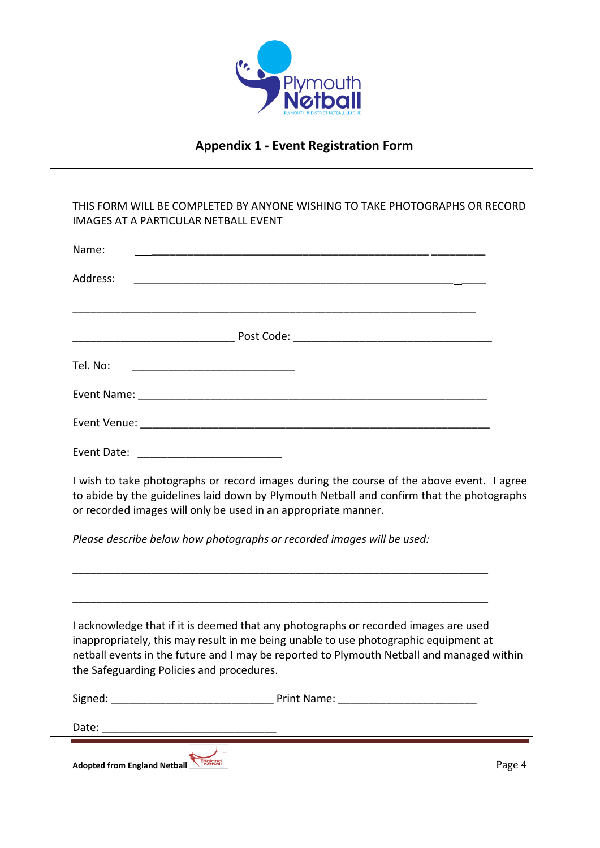

## **Appendix 1 - Event Registration Form**

| Name:                                     |                                                                                                                                                                                                                                                                                                                                                                                                                                                                    |
|-------------------------------------------|--------------------------------------------------------------------------------------------------------------------------------------------------------------------------------------------------------------------------------------------------------------------------------------------------------------------------------------------------------------------------------------------------------------------------------------------------------------------|
| Address:                                  |                                                                                                                                                                                                                                                                                                                                                                                                                                                                    |
|                                           |                                                                                                                                                                                                                                                                                                                                                                                                                                                                    |
| Tel. No:                                  |                                                                                                                                                                                                                                                                                                                                                                                                                                                                    |
|                                           |                                                                                                                                                                                                                                                                                                                                                                                                                                                                    |
|                                           |                                                                                                                                                                                                                                                                                                                                                                                                                                                                    |
|                                           |                                                                                                                                                                                                                                                                                                                                                                                                                                                                    |
|                                           |                                                                                                                                                                                                                                                                                                                                                                                                                                                                    |
|                                           | or recorded images will only be used in an appropriate manner.                                                                                                                                                                                                                                                                                                                                                                                                     |
|                                           | Please describe below how photographs or recorded images will be used:                                                                                                                                                                                                                                                                                                                                                                                             |
|                                           | I wish to take photographs or record images during the course of the above event. I agree<br>to abide by the guidelines laid down by Plymouth Netball and confirm that the photographs<br>I acknowledge that if it is deemed that any photographs or recorded images are used<br>inappropriately, this may result in me being unable to use photographic equipment at<br>netball events in the future and I may be reported to Plymouth Netball and managed within |
| the Safeguarding Policies and procedures. |                                                                                                                                                                                                                                                                                                                                                                                                                                                                    |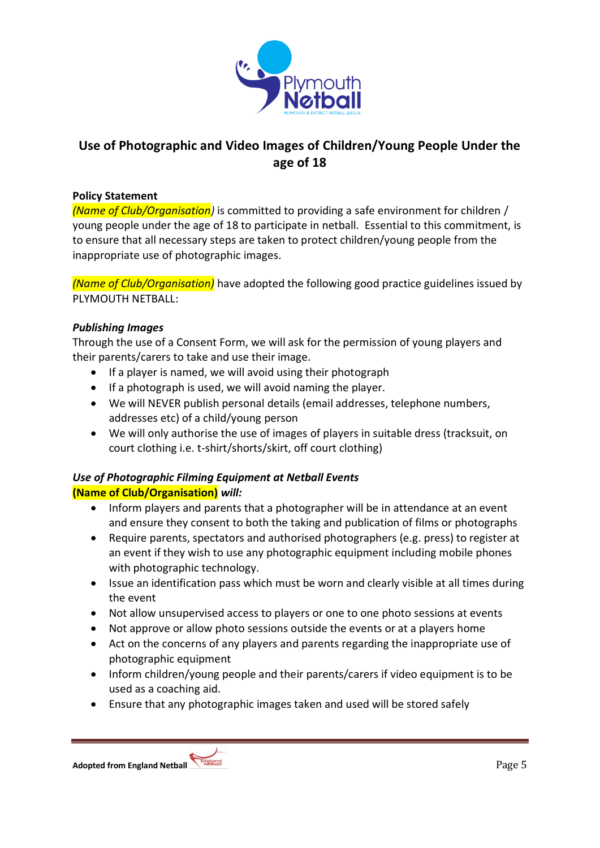

## **Use of Photographic and Video Images of Children/Young People Under the age of 18**

#### **Policy Statement**

*(Name of Club/Organisation)* is committed to providing a safe environment for children / young people under the age of 18 to participate in netball. Essential to this commitment, is to ensure that all necessary steps are taken to protect children/young people from the inappropriate use of photographic images.

*(Name of Club/Organisation)* have adopted the following good practice guidelines issued by PLYMOUTH NETBALL:

### *Publishing Images*

Through the use of a Consent Form, we will ask for the permission of young players and their parents/carers to take and use their image.

- If a player is named, we will avoid using their photograph
- If a photograph is used, we will avoid naming the player.
- We will NEVER publish personal details (email addresses, telephone numbers, addresses etc) of a child/young person
- We will only authorise the use of images of players in suitable dress (tracksuit, on court clothing i.e. t-shirt/shorts/skirt, off court clothing)

### *Use of Photographic Filming Equipment at Netball Events*  **(Name of Club/Organisation)** *will:*

- Inform players and parents that a photographer will be in attendance at an event and ensure they consent to both the taking and publication of films or photographs
- Require parents, spectators and authorised photographers (e.g. press) to register at an event if they wish to use any photographic equipment including mobile phones with photographic technology.
- Issue an identification pass which must be worn and clearly visible at all times during the event
- Not allow unsupervised access to players or one to one photo sessions at events
- Not approve or allow photo sessions outside the events or at a players home
- Act on the concerns of any players and parents regarding the inappropriate use of photographic equipment
- Inform children/young people and their parents/carers if video equipment is to be used as a coaching aid.
- Ensure that any photographic images taken and used will be stored safely